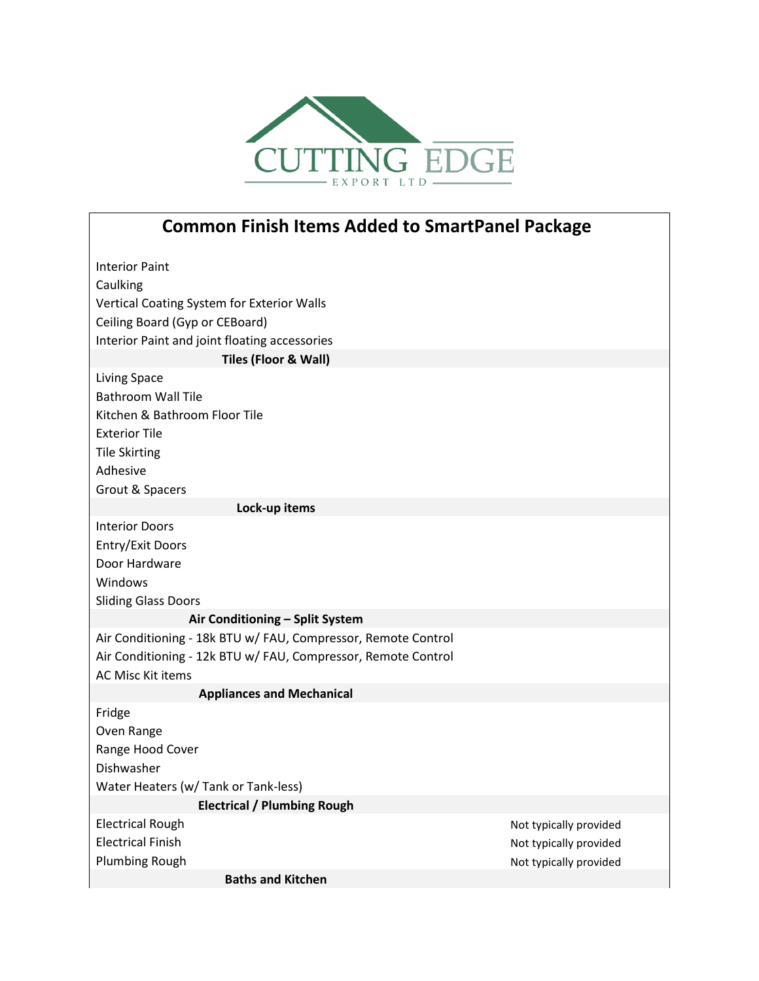

## **Common Finish Items Added to SmartPanel Package**

| <b>Interior Paint</b>                                         |                        |
|---------------------------------------------------------------|------------------------|
| Caulking                                                      |                        |
| Vertical Coating System for Exterior Walls                    |                        |
| Ceiling Board (Gyp or CEBoard)                                |                        |
| Interior Paint and joint floating accessories                 |                        |
| Tiles (Floor & Wall)                                          |                        |
| <b>Living Space</b>                                           |                        |
| <b>Bathroom Wall Tile</b>                                     |                        |
| Kitchen & Bathroom Floor Tile                                 |                        |
| <b>Exterior Tile</b>                                          |                        |
| <b>Tile Skirting</b>                                          |                        |
| Adhesive                                                      |                        |
| Grout & Spacers                                               |                        |
| Lock-up items                                                 |                        |
| <b>Interior Doors</b>                                         |                        |
| Entry/Exit Doors                                              |                        |
| Door Hardware                                                 |                        |
| Windows                                                       |                        |
| <b>Sliding Glass Doors</b>                                    |                        |
| Air Conditioning - Split System                               |                        |
| Air Conditioning - 18k BTU w/ FAU, Compressor, Remote Control |                        |
| Air Conditioning - 12k BTU w/ FAU, Compressor, Remote Control |                        |
| <b>AC Misc Kit items</b>                                      |                        |
| <b>Appliances and Mechanical</b>                              |                        |
| Fridge                                                        |                        |
| Oven Range                                                    |                        |
| Range Hood Cover                                              |                        |
| Dishwasher                                                    |                        |
| Water Heaters (w/ Tank or Tank-less)                          |                        |
| <b>Electrical / Plumbing Rough</b>                            |                        |
| <b>Electrical Rough</b>                                       | Not typically provided |
| <b>Electrical Finish</b>                                      | Not typically provided |
| <b>Plumbing Rough</b>                                         | Not typically provided |
| <b>Baths and Kitchen</b>                                      |                        |
|                                                               |                        |